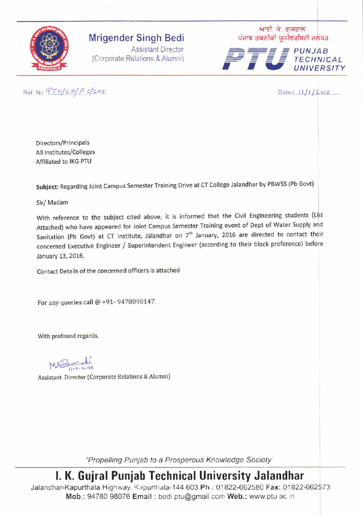

## **Mrigender Singh Bedi**

Assistant Director (Corporate Relations & Alumni) ' ਆਈ. ਕੇ. ਗੁਜਰਾਲ<br>ਪੰਜਾਬ ਤਕਨੀਕੀ ਯੂਨੀਵਰਸਿਟੀ ਜਲੰਧਰ



Ref. No  $PTU/CD/P O/242$  Dated  $11/1/20/6$ 

Directors/Principals All lnstitutes/Colleges Affiliated to IKG PTU

subject: Regarding Joint campus semester Training Drive at cT college Jalandhar by PBWss (Pb Govt)

Sir/ Madam

With reference to the subject cited above, it is informed that the Civil Engineering students (List Attached) who have appeared for loint campus semester Training event of Dept of water supply and Sanitation (Pb Govt) at CT Institute, Jalandhar on  $7<sup>th</sup>$  January, 2016 are directed to contact their concerned Executive Engineer / Superintendent Engineer (according to their block preference) before January 13, 2016.

Contact Details of the concerned officers is attached

For any queries call @ +91- 9478098147.

With profound regards,

 $11 - 2$ **:** 

Assistant Director (Corporate Relations & Alumni)

"Propelling Punjab to a Prosperous Knowledge Society"

l. K. Gujral Punjab Technical University Jalandhar

Jalandhar-Kapurthala Highway. Kapurthala-144 603 Ph.: 01822-662580 Fax:01822-662573 Mob.: 94780 98076 Email : bedi.ptu@gmail.com Web.: www.ptu ac.in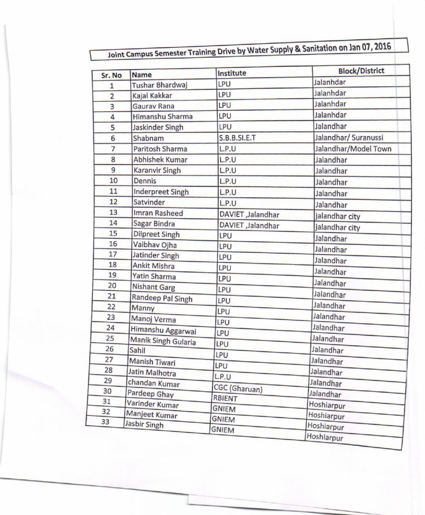## Joint Campus Semester Training Drive by Water Supply & Sanitation on Jan 07, 2016

| Sr. No         | <b>Name</b>             | Institute           | <b>Block/District</b> |  |
|----------------|-------------------------|---------------------|-----------------------|--|
| $\overline{1}$ | Tushar Bhardwaj         | LPU                 | Jalanhdar             |  |
| $\overline{2}$ | Kajal Kakkar            | LPU                 | Jalanhdar             |  |
| 3              | Gauray Rana             | LPU                 | Jalanhdar             |  |
| 4              | Himanshu Sharma         | LPU                 | Jalanhdar             |  |
| 5              | Jaskinder Singh         | LPU                 | Jalandhar             |  |
| 6              | Shabnam                 | <b>S.B.B.SI.E.T</b> | Jalandhar/ Suranussi  |  |
| $\overline{7}$ | Paritosh Sharma         | L.P.U               | Jalandhar/Model Town  |  |
| 8              | <b>Abhishek Kumar</b>   | L.P.U               | Jalandhar             |  |
| 9              | Karanvir Singh          | L.P.U               | Jalandhar             |  |
| 10             | Dennis                  | L.P.U               | Jalandhar             |  |
| 11             | <b>Inderpreet Singh</b> | L.P.U               | Jalandhar             |  |
| 12             | Satvinder               | L.P.U               | Jalandhar             |  |
| 13             | Imran Rasheed           | DAVIET , Jalandhar  | jalandhar city        |  |
| 14             | Sagar Bindra            | DAVIET , Jalandhar  | jalandhar city        |  |
| 15             | <b>Dilpreet Singh</b>   | LPU                 | Jalandhar             |  |
| 16             | Vaibhav Ojha            | LPU                 | Jalandhar             |  |
| 17             | Jatinder Singh          | LPU                 | Jalandhar             |  |
| 18             | Ankit Mishra            | LPU                 |                       |  |
| 19             | <b>Yatin Sharma</b>     | LPU                 | Jalandhar             |  |
| 20             | <b>Nishant Garg</b>     | LPU                 | Jalandhar             |  |
| 21             | Randeep Pal Singh       | LPU                 | Jalandhar             |  |
| 22             | Manny                   | LPU                 | Jalandhar             |  |
| 23             | Manoj Verma             | LPU                 | Jalandhar             |  |
| 24             | Himanshu Aggarwal       | LPU                 | Jalandhar             |  |
| 25             | Manik Singh Gularia     | LPU                 | Jalandhar             |  |
| 26             | Sahil                   | LPU                 | Jalandhar             |  |
| 27             | Manish Tiwari           | LPU                 | Jalandhar             |  |
| 28             | Jatin Malhotra          | L.P.U               | Jalandhar             |  |
| 29             | chandan Kumar           |                     | Jalandhar             |  |
| 30             | Pardeep Ghay            | CGC (Gharuan)       | Jalandhar             |  |
| 31             | Varinder Kumar          | RBIENT              | Hoshiarpur            |  |
| 32             | Manjeet Kumar           | <b>GNIEM</b>        | Hoshiarpur            |  |
| 33             | Jasbir Singh            | <b>GNIEM</b>        | Hoshiarpur            |  |
|                |                         | <b>GNIEM</b>        | Hoshiarpur            |  |

-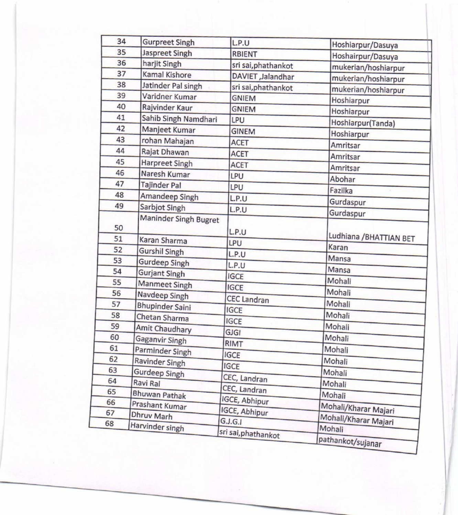| 34 | <b>Gurpreet Singh</b>  | L.P.U                          | Hoshiarpur/Dasuya              |  |
|----|------------------------|--------------------------------|--------------------------------|--|
| 35 | <b>Jaspreet Singh</b>  | <b>RBIENT</b>                  | Hoshairpur/Dasuya              |  |
| 36 | harjit Singh           | sri sai, phathankot            | mukerian/hoshiarpur            |  |
| 37 | Kamal Kishore          | DAVIET , Jalandhar             | mukerian/hoshiarpur            |  |
| 38 | Jatinder Pal singh     | sri sai, phathankot            | mukerian/hoshiarpur            |  |
| 39 | Varidner Kumar         | <b>GNIEM</b><br>Hoshiarpur     |                                |  |
| 40 | Rajvinder Kaur         | <b>GNIEM</b>                   | Hoshiarpur                     |  |
| 41 | Sahib Singh Namdhari   | LPU<br>Hoshiarpur(Tanda)       |                                |  |
| 42 | Manjeet Kumar          | <b>GINEM</b><br>Hoshiarpur     |                                |  |
| 43 | rohan Mahajan          | <b>ACET</b>                    | Amritsar                       |  |
| 44 | Rajat Dhawan           | <b>ACET</b><br><b>Amritsar</b> |                                |  |
| 45 | <b>Harpreet Singh</b>  | <b>ACET</b>                    | Amritsar                       |  |
| 46 | Naresh Kumar           | LPU                            |                                |  |
| 47 | <b>Tajinder Pal</b>    | LPU                            | Abohar                         |  |
| 48 | Amandeep Singh         | L.P.U                          | Fazilka                        |  |
| 49 | Sarbjot Singh          | L.P.U                          | Gurdaspur                      |  |
|    | Maninder Singh Bugret  |                                | Gurdaspur                      |  |
| 50 |                        | L.P.U                          |                                |  |
| 51 | Karan Sharma           | LPU                            | Ludhiana / BHATTIAN BET        |  |
| 52 | <b>Gurshil Singh</b>   | L.P.U                          | Karan                          |  |
| 53 | <b>Gurdeep Singh</b>   | L.P.U                          | Mansa                          |  |
| 54 | <b>Gurjant Singh</b>   | <b>IGCE</b>                    | Mansa                          |  |
| 55 | <b>Manmeet Singh</b>   | <b>IGCE</b>                    | Mohali                         |  |
| 56 | Navdeep Singh          | <b>CEC Landran</b>             | Mohali                         |  |
| 57 | <b>Bhupinder Saini</b> | <b>IGCE</b>                    | Mohali                         |  |
| 58 | Chetan Sharma          | <b>IGCE</b>                    | Mohali                         |  |
| 59 | Amit Chaudhary         | <b>GJGI</b>                    | Mohali                         |  |
| 60 | Gaganvir Singh         | <b>RIMT</b>                    | Mohali                         |  |
| 61 | Parminder Singh        |                                | Mohali                         |  |
| 62 | Ravinder Singh         | <b>IGCE</b>                    | Mohali                         |  |
| 63 | <b>Gurdeep Singh</b>   | <b>IGCE</b>                    | Mohali                         |  |
| 64 | Ravi Ral               | CEC, Landran                   | Mohali                         |  |
| 65 | Bhuwan Pathak          | CEC, Landran                   | Mohali                         |  |
| 66 | Prashant Kumar         | IGCE, Abhipur                  |                                |  |
| 67 | Dhruv Marh             | <b>IGCE, Abhipur</b>           | Mohali/Kharar Majari           |  |
| 68 | Harvinder singh        | G.J.G.I                        | Mohali/Kharar Majari<br>Mohali |  |
|    |                        | sri sai, phathankot            | pathankot/sujanar              |  |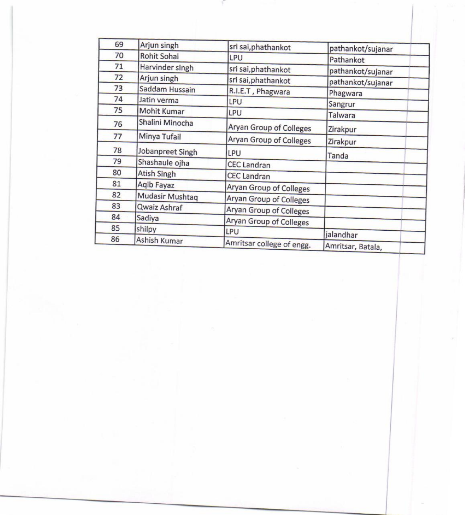| 69 | Arjun singh        | sri sai, phathankot            | pathankot/sujanar         |  |
|----|--------------------|--------------------------------|---------------------------|--|
| 70 | <b>Rohit Sohal</b> | <b>LPU</b>                     | Pathankot                 |  |
| 71 | Harvinder singh    | sri sai, phathankot            | pathankot/sujanar         |  |
| 72 | Arjun singh        | sri sai, phathankot            | pathankot/sujanar         |  |
| 73 | Saddam Hussain     | R.I.E.T, Phagwara              | Phagwara                  |  |
| 74 | Jatin verma        | LPU                            |                           |  |
| 75 | Mohit Kumar        | LPU                            | Sangrur<br><b>Talwara</b> |  |
| 76 | Shalini Minocha    | Aryan Group of Colleges        |                           |  |
| 77 | Minya Tufail       | Aryan Group of Colleges        | Zirakpur<br>Zirakpur      |  |
| 78 | Jobanpreet Singh   | LPU                            | Tanda                     |  |
| 79 | Shashaule ojha     | <b>CEC Landran</b>             |                           |  |
| 80 | <b>Atish Singh</b> | <b>CEC Landran</b>             |                           |  |
| 81 | Aqib Fayaz         | <b>Aryan Group of Colleges</b> |                           |  |
| 82 | Mudasir Mushtaq    | Aryan Group of Colleges        |                           |  |
| 83 | Qwaiz Ashraf       | Aryan Group of Colleges        |                           |  |
| 84 | Sadiya             | Aryan Group of Colleges        |                           |  |
| 85 | shilpy             | LPU                            |                           |  |
| 86 | Ashish Kumar       |                                | jalandhar                 |  |
|    |                    | Amritsar college of engg.      | Amritsar, Batala,         |  |

an.